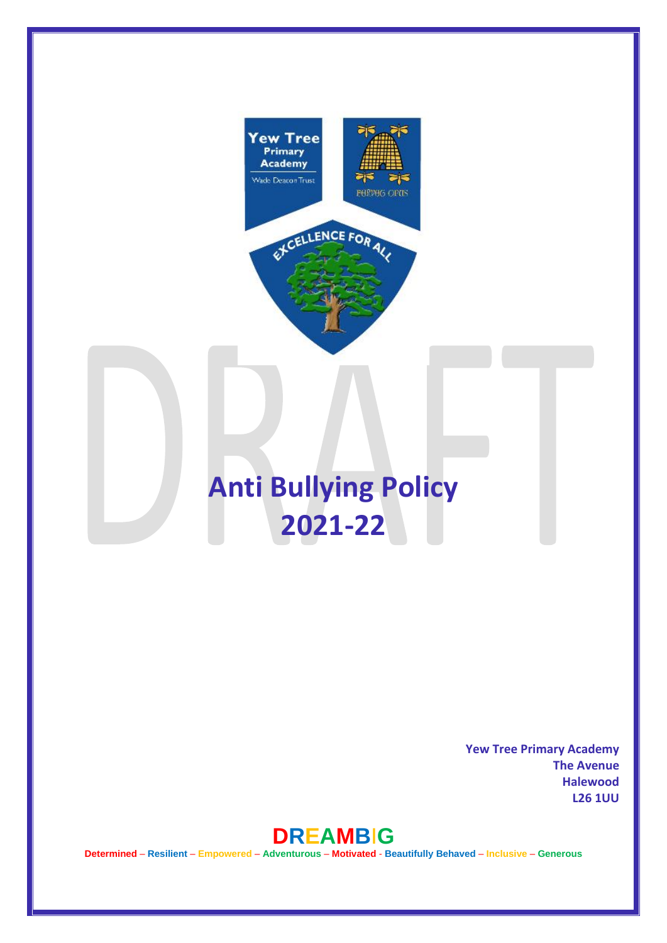

**Yew Tree Primary Academy The Avenue Halewood L26 1UU** 



**Determined** – **Resilient** – **Empowered** – **Adventurous** – **Motivated** - **Beautifully Behaved** – **Inclusive** – **Generous**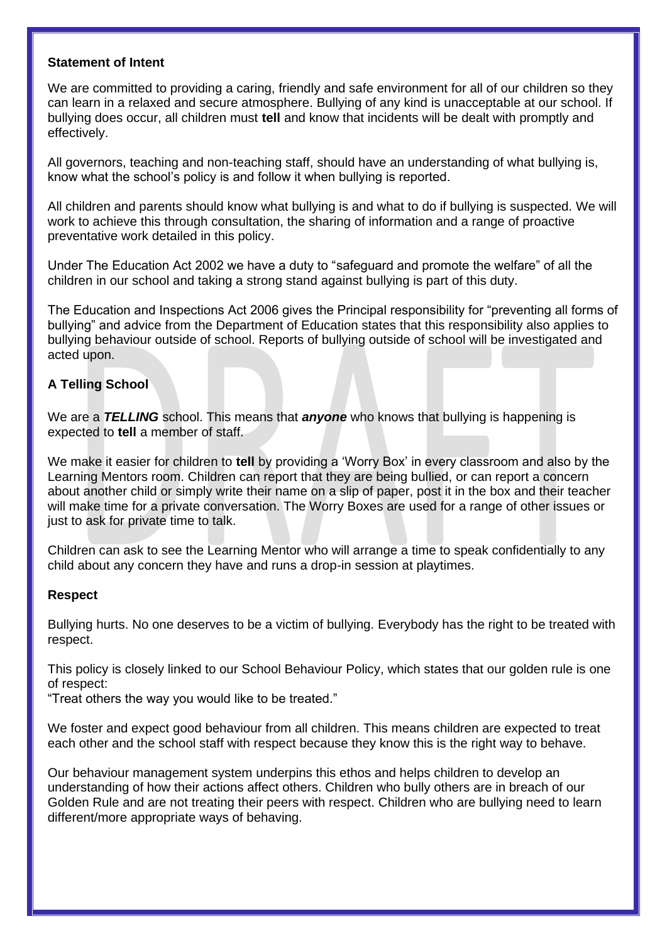#### **Statement of Intent**

We are committed to providing a caring, friendly and safe environment for all of our children so they can learn in a relaxed and secure atmosphere. Bullying of any kind is unacceptable at our school. If bullying does occur, all children must **tell** and know that incidents will be dealt with promptly and effectively.

All governors, teaching and non-teaching staff, should have an understanding of what bullying is, know what the school's policy is and follow it when bullying is reported.

All children and parents should know what bullying is and what to do if bullying is suspected. We will work to achieve this through consultation, the sharing of information and a range of proactive preventative work detailed in this policy.

Under The Education Act 2002 we have a duty to "safeguard and promote the welfare" of all the children in our school and taking a strong stand against bullying is part of this duty.

The Education and Inspections Act 2006 gives the Principal responsibility for "preventing all forms of bullying" and advice from the Department of Education states that this responsibility also applies to bullying behaviour outside of school. Reports of bullying outside of school will be investigated and acted upon.

# **A Telling School**

We are a *TELLING* school. This means that *anyone* who knows that bullying is happening is expected to **tell** a member of staff.

We make it easier for children to **tell** by providing a 'Worry Box' in every classroom and also by the Learning Mentors room. Children can report that they are being bullied, or can report a concern about another child or simply write their name on a slip of paper, post it in the box and their teacher will make time for a private conversation. The Worry Boxes are used for a range of other issues or just to ask for private time to talk.

Children can ask to see the Learning Mentor who will arrange a time to speak confidentially to any child about any concern they have and runs a drop-in session at playtimes.

#### **Respect**

Bullying hurts. No one deserves to be a victim of bullying. Everybody has the right to be treated with respect.

This policy is closely linked to our School Behaviour Policy, which states that our golden rule is one of respect:

"Treat others the way you would like to be treated."

We foster and expect good behaviour from all children. This means children are expected to treat each other and the school staff with respect because they know this is the right way to behave.

Our behaviour management system underpins this ethos and helps children to develop an understanding of how their actions affect others. Children who bully others are in breach of our Golden Rule and are not treating their peers with respect. Children who are bullying need to learn different/more appropriate ways of behaving.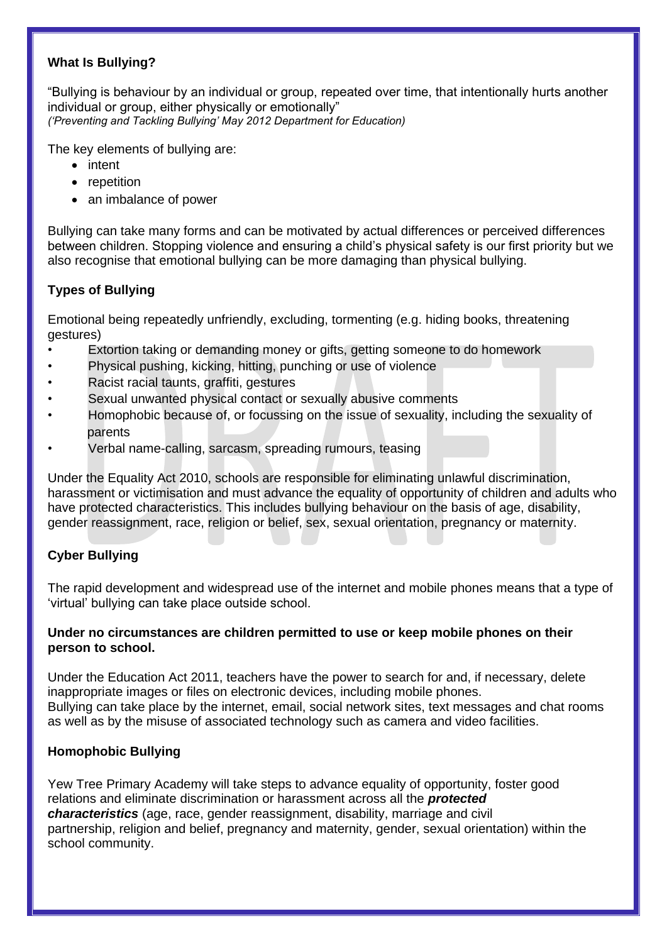# **What Is Bullying?**

"Bullying is behaviour by an individual or group, repeated over time, that intentionally hurts another individual or group, either physically or emotionally" *('Preventing and Tackling Bullying' May 2012 Department for Education)* 

The key elements of bullying are:

- intent
- repetition
- an imbalance of power

Bullying can take many forms and can be motivated by actual differences or perceived differences between children. Stopping violence and ensuring a child's physical safety is our first priority but we also recognise that emotional bullying can be more damaging than physical bullying.

# **Types of Bullying**

Emotional being repeatedly unfriendly, excluding, tormenting (e.g. hiding books, threatening gestures)

- Extortion taking or demanding money or gifts, getting someone to do homework
- Physical pushing, kicking, hitting, punching or use of violence
- Racist racial taunts, graffiti, gestures
- Sexual unwanted physical contact or sexually abusive comments
- Homophobic because of, or focussing on the issue of sexuality, including the sexuality of parents
- Verbal name-calling, sarcasm, spreading rumours, teasing

Under the Equality Act 2010, schools are responsible for eliminating unlawful discrimination, harassment or victimisation and must advance the equality of opportunity of children and adults who have protected characteristics. This includes bullying behaviour on the basis of age, disability, gender reassignment, race, religion or belief, sex, sexual orientation, pregnancy or maternity.

# **Cyber Bullying**

The rapid development and widespread use of the internet and mobile phones means that a type of 'virtual' bullying can take place outside school.

### **Under no circumstances are children permitted to use or keep mobile phones on their person to school.**

Under the Education Act 2011, teachers have the power to search for and, if necessary, delete inappropriate images or files on electronic devices, including mobile phones. Bullying can take place by the internet, email, social network sites, text messages and chat rooms as well as by the misuse of associated technology such as camera and video facilities.

# **Homophobic Bullying**

Yew Tree Primary Academy will take steps to advance equality of opportunity, foster good relations and eliminate discrimination or harassment across all the *protected characteristics* (age, race, gender reassignment, disability, marriage and civil partnership, religion and belief, pregnancy and maternity, gender, sexual orientation) within the school community.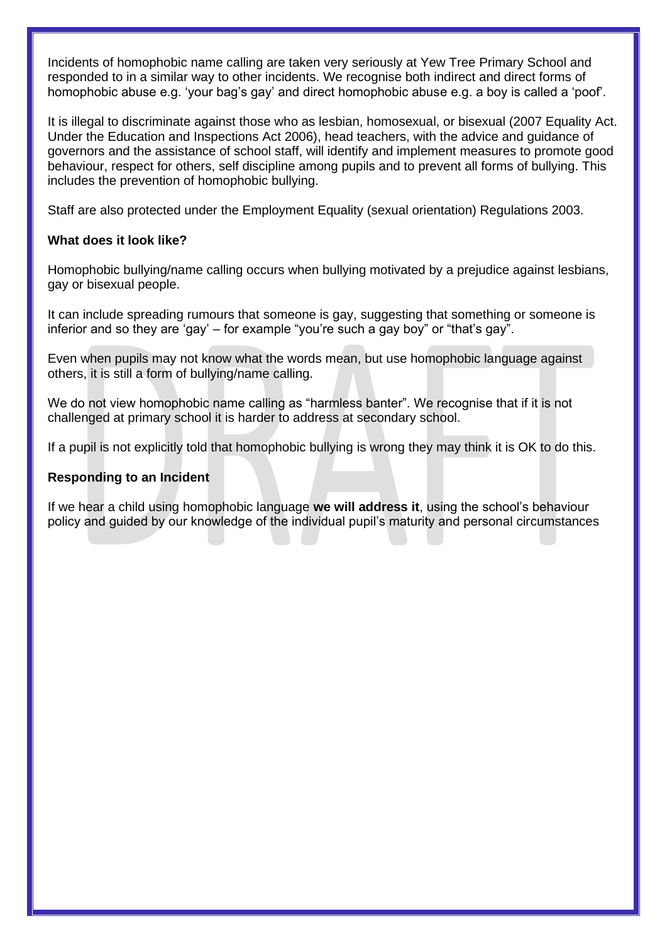Incidents of homophobic name calling are taken very seriously at Yew Tree Primary School and responded to in a similar way to other incidents. We recognise both indirect and direct forms of homophobic abuse e.g. 'your bag's gay' and direct homophobic abuse e.g. a boy is called a 'poof'.

It is illegal to discriminate against those who as lesbian, homosexual, or bisexual (2007 Equality Act. Under the Education and Inspections Act 2006), head teachers, with the advice and guidance of governors and the assistance of school staff, will identify and implement measures to promote good behaviour, respect for others, self discipline among pupils and to prevent all forms of bullying. This includes the prevention of homophobic bullying.

Staff are also protected under the Employment Equality (sexual orientation) Regulations 2003.

## **What does it look like?**

Homophobic bullying/name calling occurs when bullying motivated by a prejudice against lesbians, gay or bisexual people.

It can include spreading rumours that someone is gay, suggesting that something or someone is inferior and so they are 'gay' – for example "you're such a gay boy" or "that's gay".

Even when pupils may not know what the words mean, but use homophobic language against others, it is still a form of bullying/name calling.

We do not view homophobic name calling as "harmless banter". We recognise that if it is not challenged at primary school it is harder to address at secondary school.

If a pupil is not explicitly told that homophobic bullying is wrong they may think it is OK to do this.

#### **Responding to an Incident**

If we hear a child using homophobic language **we will address it**, using the school's behaviour policy and guided by our knowledge of the individual pupil's maturity and personal circumstances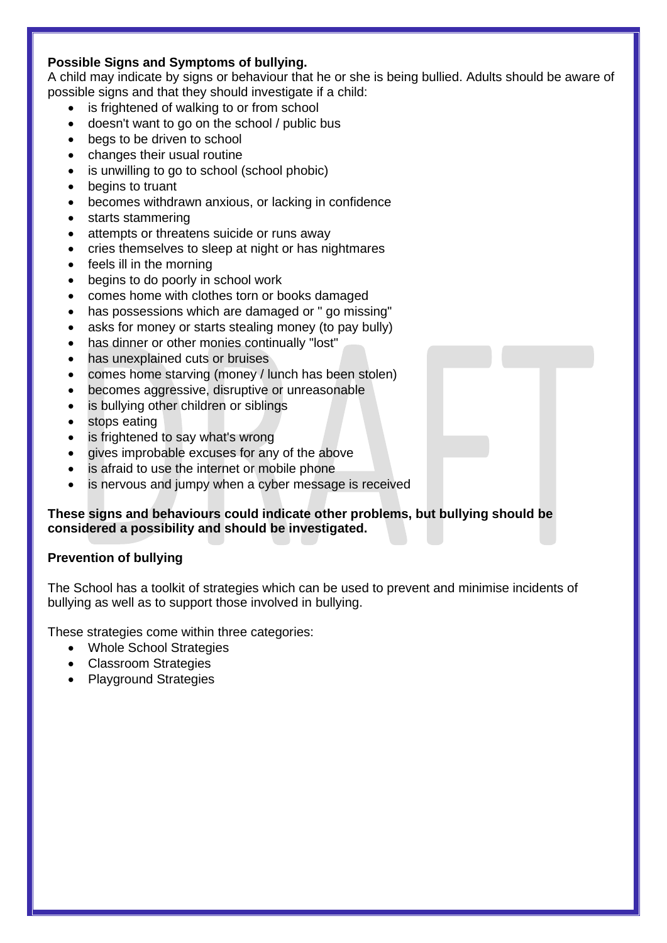# **Possible Signs and Symptoms of bullying.**

A child may indicate by signs or behaviour that he or she is being bullied. Adults should be aware of possible signs and that they should investigate if a child:

- is frightened of walking to or from school
- doesn't want to go on the school / public bus
- begs to be driven to school
- changes their usual routine
- is unwilling to go to school (school phobic)
- begins to truant
- becomes withdrawn anxious, or lacking in confidence
- starts stammering
- attempts or threatens suicide or runs away
- cries themselves to sleep at night or has nightmares
- feels ill in the morning
- begins to do poorly in school work
- comes home with clothes torn or books damaged
- has possessions which are damaged or " go missing"
- asks for money or starts stealing money (to pay bully)
- has dinner or other monies continually "lost"
- has unexplained cuts or bruises
- comes home starving (money / lunch has been stolen)
- becomes aggressive, disruptive or unreasonable
- is bullying other children or siblings
- stops eating
- is frightened to say what's wrong
- gives improbable excuses for any of the above
- is afraid to use the internet or mobile phone
- is nervous and jumpy when a cyber message is received

## **These signs and behaviours could indicate other problems, but bullying should be considered a possibility and should be investigated.**

# **Prevention of bullying**

The School has a toolkit of strategies which can be used to prevent and minimise incidents of bullying as well as to support those involved in bullying.

These strategies come within three categories:

- Whole School Strategies
- Classroom Strategies
- Playground Strategies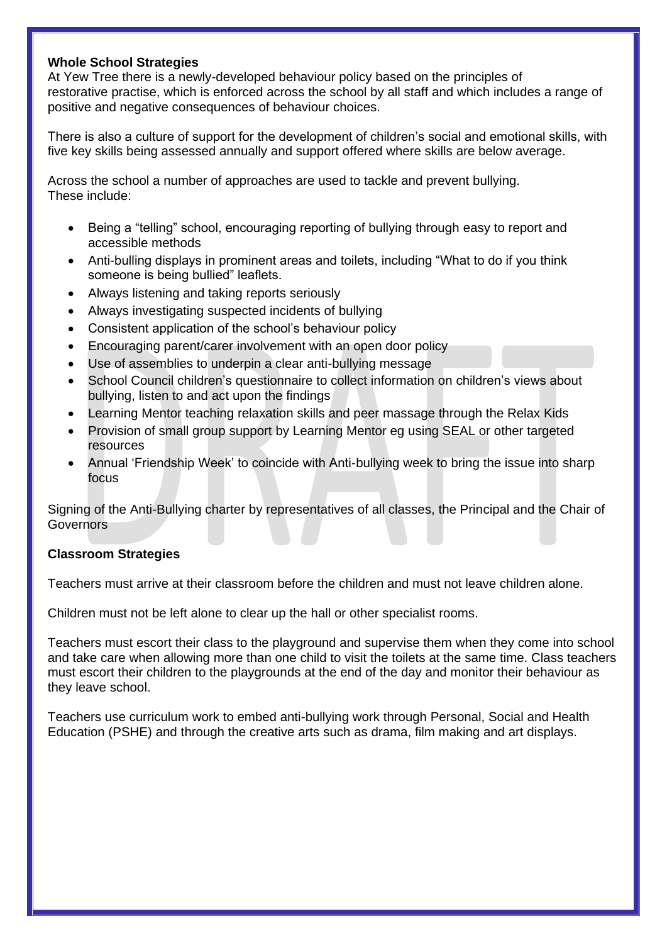#### **Whole School Strategies**

At Yew Tree there is a newly-developed behaviour policy based on the principles of restorative practise, which is enforced across the school by all staff and which includes a range of positive and negative consequences of behaviour choices.

There is also a culture of support for the development of children's social and emotional skills, with five key skills being assessed annually and support offered where skills are below average.

Across the school a number of approaches are used to tackle and prevent bullying. These include:

- Being a "telling" school, encouraging reporting of bullying through easy to report and accessible methods
- Anti-bulling displays in prominent areas and toilets, including "What to do if you think someone is being bullied" leaflets.
- Always listening and taking reports seriously
- Always investigating suspected incidents of bullying
- Consistent application of the school's behaviour policy
- Encouraging parent/carer involvement with an open door policy
- Use of assemblies to underpin a clear anti-bullying message
- School Council children's questionnaire to collect information on children's views about bullying, listen to and act upon the findings
- Learning Mentor teaching relaxation skills and peer massage through the Relax Kids
- Provision of small group support by Learning Mentor eg using SEAL or other targeted resources
- Annual 'Friendship Week' to coincide with Anti-bullying week to bring the issue into sharp focus

Signing of the Anti-Bullying charter by representatives of all classes, the Principal and the Chair of **Governors** 

# **Classroom Strategies**

Teachers must arrive at their classroom before the children and must not leave children alone.

Children must not be left alone to clear up the hall or other specialist rooms.

Teachers must escort their class to the playground and supervise them when they come into school and take care when allowing more than one child to visit the toilets at the same time. Class teachers must escort their children to the playgrounds at the end of the day and monitor their behaviour as they leave school.

Teachers use curriculum work to embed anti-bullying work through Personal, Social and Health Education (PSHE) and through the creative arts such as drama, film making and art displays.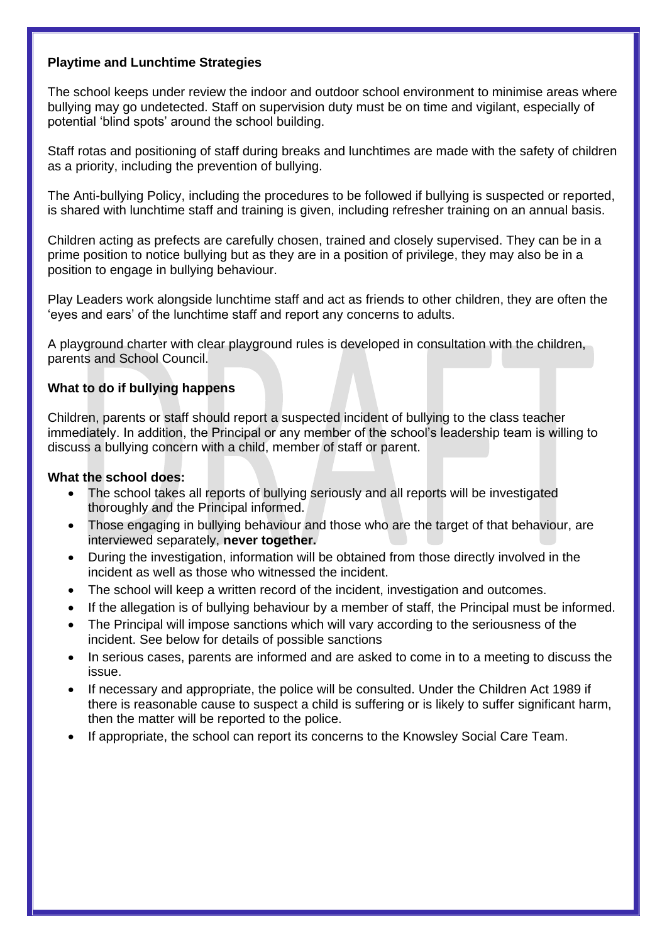# **Playtime and Lunchtime Strategies**

The school keeps under review the indoor and outdoor school environment to minimise areas where bullying may go undetected. Staff on supervision duty must be on time and vigilant, especially of potential 'blind spots' around the school building.

Staff rotas and positioning of staff during breaks and lunchtimes are made with the safety of children as a priority, including the prevention of bullying.

The Anti-bullying Policy, including the procedures to be followed if bullying is suspected or reported, is shared with lunchtime staff and training is given, including refresher training on an annual basis.

Children acting as prefects are carefully chosen, trained and closely supervised. They can be in a prime position to notice bullying but as they are in a position of privilege, they may also be in a position to engage in bullying behaviour.

Play Leaders work alongside lunchtime staff and act as friends to other children, they are often the 'eyes and ears' of the lunchtime staff and report any concerns to adults.

A playground charter with clear playground rules is developed in consultation with the children, parents and School Council.

# **What to do if bullying happens**

Children, parents or staff should report a suspected incident of bullying to the class teacher immediately. In addition, the Principal or any member of the school's leadership team is willing to discuss a bullying concern with a child, member of staff or parent.

#### **What the school does:**

- The school takes all reports of bullying seriously and all reports will be investigated thoroughly and the Principal informed.
- Those engaging in bullying behaviour and those who are the target of that behaviour, are interviewed separately, **never together.**
- During the investigation, information will be obtained from those directly involved in the incident as well as those who witnessed the incident.
- The school will keep a written record of the incident, investigation and outcomes.
- If the allegation is of bullying behaviour by a member of staff, the Principal must be informed.
- The Principal will impose sanctions which will vary according to the seriousness of the incident. See below for details of possible sanctions
- In serious cases, parents are informed and are asked to come in to a meeting to discuss the issue.
- If necessary and appropriate, the police will be consulted. Under the Children Act 1989 if there is reasonable cause to suspect a child is suffering or is likely to suffer significant harm, then the matter will be reported to the police.
- If appropriate, the school can report its concerns to the Knowsley Social Care Team.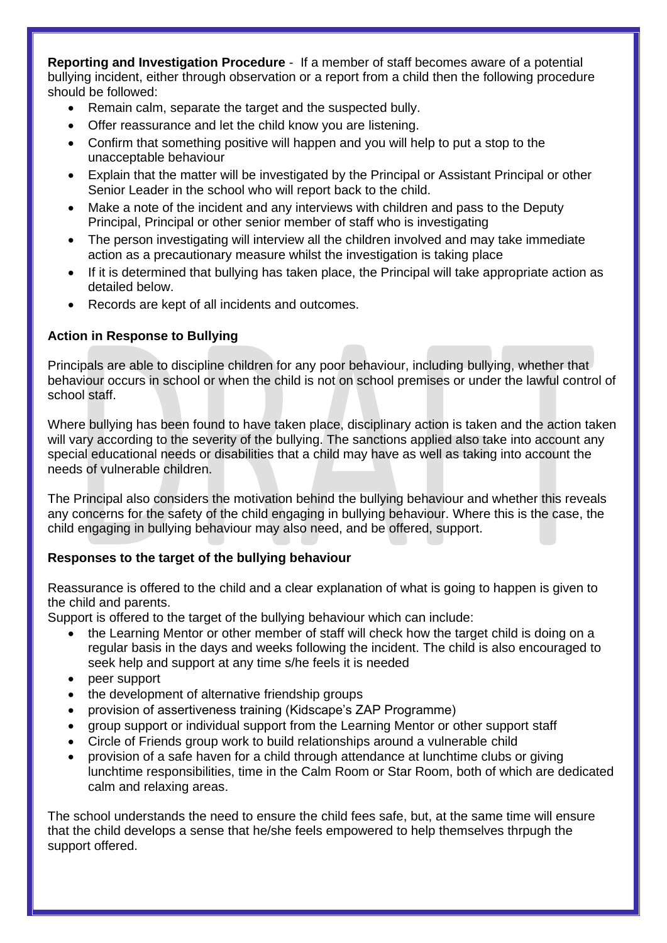**Reporting and Investigation Procedure** - If a member of staff becomes aware of a potential bullying incident, either through observation or a report from a child then the following procedure should be followed:

- Remain calm, separate the target and the suspected bully.
- Offer reassurance and let the child know you are listening.
- Confirm that something positive will happen and you will help to put a stop to the unacceptable behaviour
- Explain that the matter will be investigated by the Principal or Assistant Principal or other Senior Leader in the school who will report back to the child.
- Make a note of the incident and any interviews with children and pass to the Deputy Principal, Principal or other senior member of staff who is investigating
- The person investigating will interview all the children involved and may take immediate action as a precautionary measure whilst the investigation is taking place
- If it is determined that bullying has taken place, the Principal will take appropriate action as detailed below.
- Records are kept of all incidents and outcomes.

# **Action in Response to Bullying**

Principals are able to discipline children for any poor behaviour, including bullying, whether that behaviour occurs in school or when the child is not on school premises or under the lawful control of school staff.

Where bullying has been found to have taken place, disciplinary action is taken and the action taken will vary according to the severity of the bullying. The sanctions applied also take into account any special educational needs or disabilities that a child may have as well as taking into account the needs of vulnerable children.

The Principal also considers the motivation behind the bullying behaviour and whether this reveals any concerns for the safety of the child engaging in bullying behaviour. Where this is the case, the child engaging in bullying behaviour may also need, and be offered, support.

# **Responses to the target of the bullying behaviour**

Reassurance is offered to the child and a clear explanation of what is going to happen is given to the child and parents.

Support is offered to the target of the bullying behaviour which can include:

- the Learning Mentor or other member of staff will check how the target child is doing on a regular basis in the days and weeks following the incident. The child is also encouraged to seek help and support at any time s/he feels it is needed
- peer support
- the development of alternative friendship groups
- provision of assertiveness training (Kidscape's ZAP Programme)
- group support or individual support from the Learning Mentor or other support staff
- Circle of Friends group work to build relationships around a vulnerable child
- provision of a safe haven for a child through attendance at lunchtime clubs or giving lunchtime responsibilities, time in the Calm Room or Star Room, both of which are dedicated calm and relaxing areas.

The school understands the need to ensure the child fees safe, but, at the same time will ensure that the child develops a sense that he/she feels empowered to help themselves thrpugh the support offered.